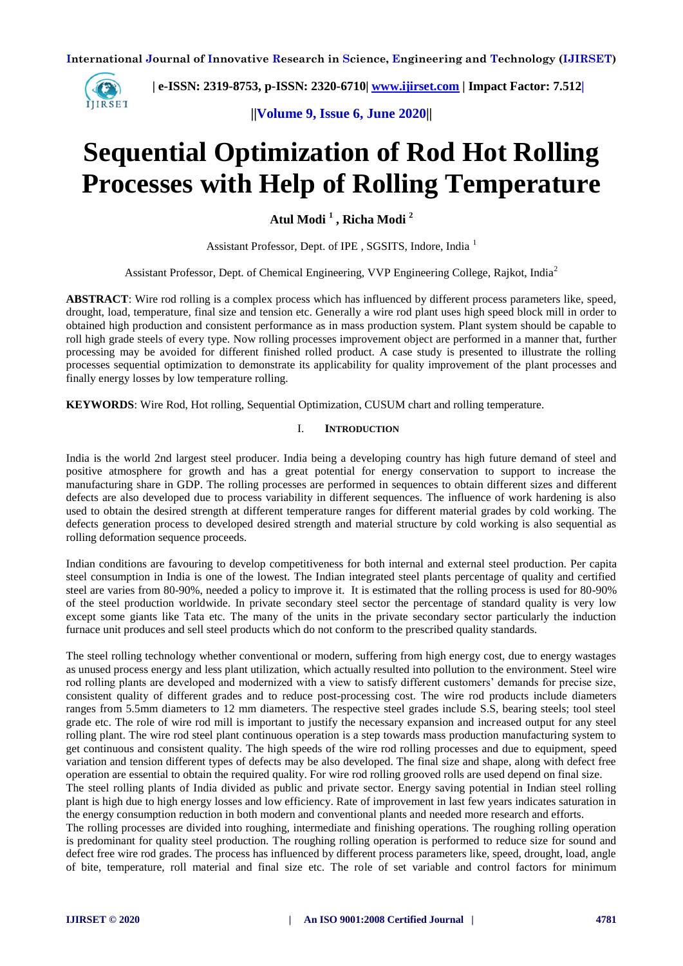

 **| e-ISSN: 2319-8753, p-ISSN: 2320-6710| [www.ijirset.com](http://www.ijirset.com/) | Impact Factor: 7.512|**

**||Volume 9, Issue 6, June 2020||** 

# **Sequential Optimization of Rod Hot Rolling Processes with Help of Rolling Temperature**

**Atul Modi <sup>1</sup> , Richa Modi <sup>2</sup>**

Assistant Professor, Dept. of IPE , SGSITS, Indore, India <sup>1</sup>

Assistant Professor, Dept. of Chemical Engineering, VVP Engineering College, Rajkot, India<sup>2</sup>

**ABSTRACT**: Wire rod rolling is a complex process which has influenced by different process parameters like, speed, drought, load, temperature, final size and tension etc. Generally a wire rod plant uses high speed block mill in order to obtained high production and consistent performance as in mass production system. Plant system should be capable to roll high grade steels of every type. Now rolling processes improvement object are performed in a manner that, further processing may be avoided for different finished rolled product. A case study is presented to illustrate the rolling processes sequential optimization to demonstrate its applicability for quality improvement of the plant processes and finally energy losses by low temperature rolling.

**KEYWORDS**: Wire Rod, Hot rolling, Sequential Optimization, CUSUM chart and rolling temperature.

## I. **INTRODUCTION**

India is the world 2nd largest steel producer. India being a developing country has high future demand of steel and positive atmosphere for growth and has a great potential for energy conservation to support to increase the manufacturing share in GDP. The rolling processes are performed in sequences to obtain different sizes and different defects are also developed due to process variability in different sequences. The influence of work hardening is also used to obtain the desired strength at different temperature ranges for different material grades by cold working. The defects generation process to developed desired strength and material structure by cold working is also sequential as rolling deformation sequence proceeds.

Indian conditions are favouring to develop competitiveness for both internal and external steel production. Per capita steel consumption in India is one of the lowest. The Indian integrated steel plants percentage of quality and certified steel are varies from 80-90%, needed a policy to improve it. It is estimated that the rolling process is used for 80-90% of the steel production worldwide. In private secondary steel sector the percentage of standard quality is very low except some giants like Tata etc. The many of the units in the private secondary sector particularly the induction furnace unit produces and sell steel products which do not conform to the prescribed quality standards.

The steel rolling technology whether conventional or modern, suffering from high energy cost, due to energy wastages as unused process energy and less plant utilization, which actually resulted into pollution to the environment. Steel wire rod rolling plants are developed and modernized with a view to satisfy different customers' demands for precise size, consistent quality of different grades and to reduce post-processing cost. The wire rod products include diameters ranges from 5.5mm diameters to 12 mm diameters. The respective steel grades include S.S, bearing steels; tool steel grade etc. The role of wire rod mill is important to justify the necessary expansion and increased output for any steel rolling plant. The wire rod steel plant continuous operation is a step towards mass production manufacturing system to get continuous and consistent quality. The high speeds of the wire rod rolling processes and due to equipment, speed variation and tension different types of defects may be also developed. The final size and shape, along with defect free operation are essential to obtain the required quality. For wire rod rolling grooved rolls are used depend on final size.

The steel rolling plants of India divided as public and private sector. Energy saving potential in Indian steel rolling plant is high due to high energy losses and low efficiency. Rate of improvement in last few years indicates saturation in the energy consumption reduction in both modern and conventional plants and needed more research and efforts.

The rolling processes are divided into roughing, intermediate and finishing operations. The roughing rolling operation is predominant for quality steel production. The roughing rolling operation is performed to reduce size for sound and defect free wire rod grades. The process has influenced by different process parameters like, speed, drought, load, angle of bite, temperature, roll material and final size etc. The role of set variable and control factors for minimum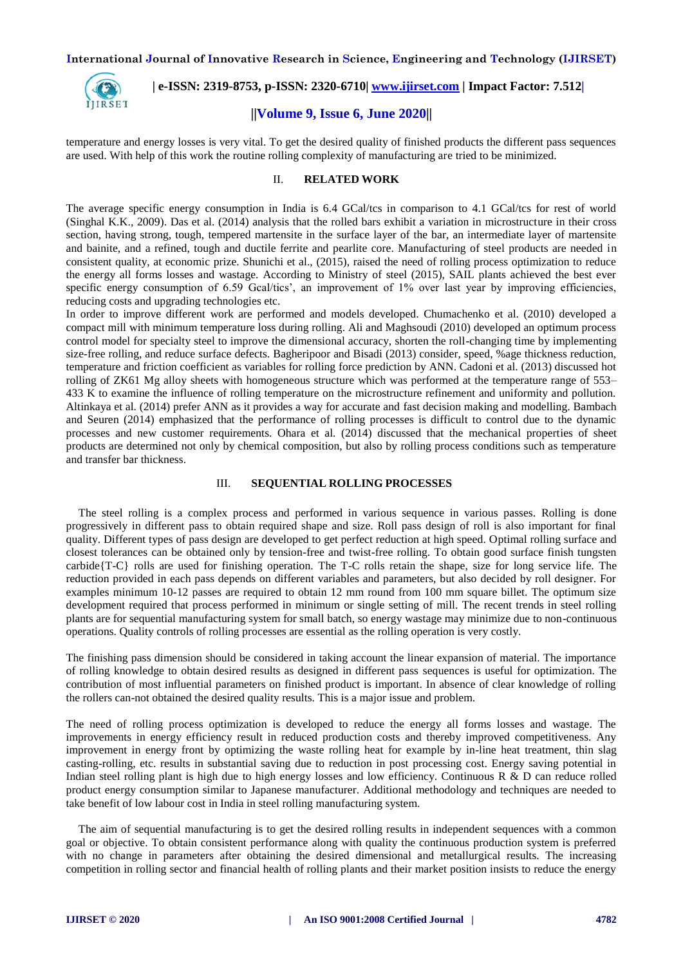

 **| e-ISSN: 2319-8753, p-ISSN: 2320-6710| [www.ijirset.com](http://www.ijirset.com/) | Impact Factor: 7.512|**

## **||Volume 9, Issue 6, June 2020||**

temperature and energy losses is very vital. To get the desired quality of finished products the different pass sequences are used. With help of this work the routine rolling complexity of manufacturing are tried to be minimized.

#### II. **RELATED WORK**

The average specific energy consumption in India is 6.4 GCal/tcs in comparison to 4.1 GCal/tcs for rest of world (Singhal K.K., 2009). Das et al. (2014) analysis that the rolled bars exhibit a variation in microstructure in their cross section, having strong, tough, tempered martensite in the surface layer of the bar, an intermediate layer of martensite and bainite, and a refined, tough and ductile ferrite and pearlite core. Manufacturing of steel products are needed in consistent quality, at economic prize. Shunichi et al., (2015), raised the need of rolling process optimization to reduce the energy all forms losses and wastage. According to Ministry of steel (2015), SAIL plants achieved the best ever specific energy consumption of 6.59 Gcal/tics', an improvement of 1% over last year by improving efficiencies, reducing costs and upgrading technologies etc.

In order to improve different work are performed and models developed. Chumachenko et al. (2010) developed a compact mill with minimum temperature loss during rolling. Ali and Maghsoudi (2010) developed an optimum process control model for specialty steel to improve the dimensional accuracy, shorten the roll-changing time by implementing size-free rolling, and reduce surface defects. Bagheripoor and Bisadi (2013) consider, speed, %age thickness reduction, temperature and friction coefficient as variables for rolling force prediction by ANN. Cadoni et al. (2013) discussed hot rolling of ZK61 Mg alloy sheets with homogeneous structure which was performed at the temperature range of 553– 433 K to examine the influence of rolling temperature on the microstructure refinement and uniformity and pollution. Altinkaya et al. (2014) prefer ANN as it provides a way for accurate and fast decision making and modelling. Bambach and Seuren (2014) emphasized that the performance of rolling processes is difficult to control due to the dynamic processes and new customer requirements. Ohara et al. (2014) discussed that the mechanical properties of sheet products are determined not only by chemical composition, but also by rolling process conditions such as temperature and transfer bar thickness.

#### III. **SEQUENTIAL ROLLING PROCESSES**

The steel rolling is a complex process and performed in various sequence in various passes. Rolling is done progressively in different pass to obtain required shape and size. Roll pass design of roll is also important for final quality. Different types of pass design are developed to get perfect reduction at high speed. Optimal rolling surface and closest tolerances can be obtained only by tension-free and twist-free rolling. To obtain good surface finish tungsten carbide{T-C} rolls are used for finishing operation. The T-C rolls retain the shape, size for long service life. The reduction provided in each pass depends on different variables and parameters, but also decided by roll designer. For examples minimum 10-12 passes are required to obtain 12 mm round from 100 mm square billet. The optimum size development required that process performed in minimum or single setting of mill. The recent trends in steel rolling plants are for sequential manufacturing system for small batch, so energy wastage may minimize due to non-continuous operations. Quality controls of rolling processes are essential as the rolling operation is very costly.

The finishing pass dimension should be considered in taking account the linear expansion of material. The importance of rolling knowledge to obtain desired results as designed in different pass sequences is useful for optimization. The contribution of most influential parameters on finished product is important. In absence of clear knowledge of rolling the rollers can-not obtained the desired quality results. This is a major issue and problem.

The need of rolling process optimization is developed to reduce the energy all forms losses and wastage. The improvements in energy efficiency result in reduced production costs and thereby improved competitiveness. Any improvement in energy front by optimizing the waste rolling heat for example by in-line heat treatment, thin slag casting-rolling, etc. results in substantial saving due to reduction in post processing cost. Energy saving potential in Indian steel rolling plant is high due to high energy losses and low efficiency. Continuous R & D can reduce rolled product energy consumption similar to Japanese manufacturer. Additional methodology and techniques are needed to take benefit of low labour cost in India in steel rolling manufacturing system.

The aim of sequential manufacturing is to get the desired rolling results in independent sequences with a common goal or objective. To obtain consistent performance along with quality the continuous production system is preferred with no change in parameters after obtaining the desired dimensional and metallurgical results. The increasing competition in rolling sector and financial health of rolling plants and their market position insists to reduce the energy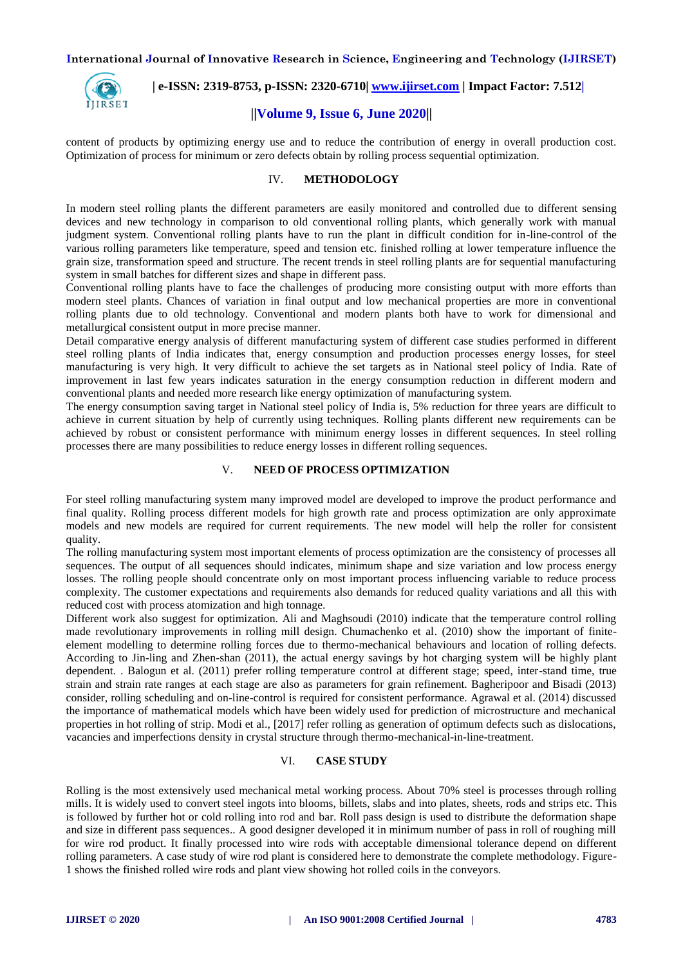

 **| e-ISSN: 2319-8753, p-ISSN: 2320-6710| [www.ijirset.com](http://www.ijirset.com/) | Impact Factor: 7.512|**

## **||Volume 9, Issue 6, June 2020||**

content of products by optimizing energy use and to reduce the contribution of energy in overall production cost. Optimization of process for minimum or zero defects obtain by rolling process sequential optimization.

## IV. **METHODOLOGY**

In modern steel rolling plants the different parameters are easily monitored and controlled due to different sensing devices and new technology in comparison to old conventional rolling plants, which generally work with manual judgment system. Conventional rolling plants have to run the plant in difficult condition for in-line-control of the various rolling parameters like temperature, speed and tension etc. finished rolling at lower temperature influence the grain size, transformation speed and structure. The recent trends in steel rolling plants are for sequential manufacturing system in small batches for different sizes and shape in different pass.

Conventional rolling plants have to face the challenges of producing more consisting output with more efforts than modern steel plants. Chances of variation in final output and low mechanical properties are more in conventional rolling plants due to old technology. Conventional and modern plants both have to work for dimensional and metallurgical consistent output in more precise manner.

Detail comparative energy analysis of different manufacturing system of different case studies performed in different steel rolling plants of India indicates that, energy consumption and production processes energy losses, for steel manufacturing is very high. It very difficult to achieve the set targets as in National steel policy of India. Rate of improvement in last few years indicates saturation in the energy consumption reduction in different modern and conventional plants and needed more research like energy optimization of manufacturing system.

The energy consumption saving target in National steel policy of India is, 5% reduction for three years are difficult to achieve in current situation by help of currently using techniques. Rolling plants different new requirements can be achieved by robust or consistent performance with minimum energy losses in different sequences. In steel rolling processes there are many possibilities to reduce energy losses in different rolling sequences.

## V. **NEED OF PROCESS OPTIMIZATION**

For steel rolling manufacturing system many improved model are developed to improve the product performance and final quality. Rolling process different models for high growth rate and process optimization are only approximate models and new models are required for current requirements. The new model will help the roller for consistent quality.

The rolling manufacturing system most important elements of process optimization are the consistency of processes all sequences. The output of all sequences should indicates, minimum shape and size variation and low process energy losses. The rolling people should concentrate only on most important process influencing variable to reduce process complexity. The customer expectations and requirements also demands for reduced quality variations and all this with reduced cost with process atomization and high tonnage.

Different work also suggest for optimization. Ali and Maghsoudi (2010) indicate that the temperature control rolling made revolutionary improvements in rolling mill design. Chumachenko et al. (2010) show the important of finiteelement modelling to determine rolling forces due to thermo-mechanical behaviours and location of rolling defects. According to Jin-ling and Zhen-shan (2011), the actual energy savings by hot charging system will be highly plant dependent. . Balogun et al. (2011) prefer rolling temperature control at different stage; speed, inter-stand time, true strain and strain rate ranges at each stage are also as parameters for grain refinement. Bagheripoor and Bisadi (2013) consider, rolling scheduling and on-line-control is required for consistent performance. Agrawal et al. (2014) discussed the importance of mathematical models which have been widely used for prediction of microstructure and mechanical properties in hot rolling of strip. Modi et al., [2017] refer rolling as generation of optimum defects such as dislocations, vacancies and imperfections density in crystal structure through thermo-mechanical-in-line-treatment.

#### VI. **CASE STUDY**

Rolling is the most extensively used mechanical metal working process. About 70% steel is processes through rolling mills. It is widely used to convert steel ingots into blooms, billets, slabs and into plates, sheets, rods and strips etc. This is followed by further hot or cold rolling into rod and bar. Roll pass design is used to distribute the deformation shape and size in different pass sequences.. A good designer developed it in minimum number of pass in roll of roughing mill for wire rod product. It finally processed into wire rods with acceptable dimensional tolerance depend on different rolling parameters. A case study of wire rod plant is considered here to demonstrate the complete methodology. Figure-1 shows the finished rolled wire rods and plant view showing hot rolled coils in the conveyors.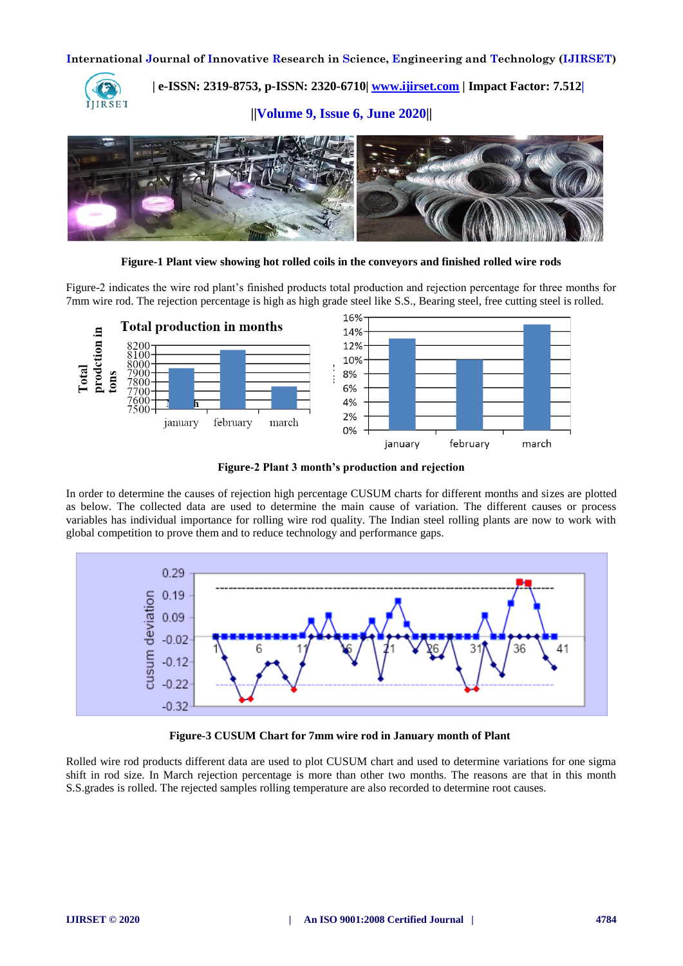

 **| e-ISSN: 2319-8753, p-ISSN: 2320-6710| [www.ijirset.com](http://www.ijirset.com/) | Impact Factor: 7.512|**

**||Volume 9, Issue 6, June 2020||** 



**Figure-1 Plant view showing hot rolled coils in the conveyors and finished rolled wire rods**

Figure-2 indicates the wire rod plant's finished products total production and rejection percentage for three months for 7mm wire rod. The rejection percentage is high as high grade steel like S.S., Bearing steel, free cutting steel is rolled.



**Figure-2 Plant 3 month's production and rejection**

In order to determine the causes of rejection high percentage CUSUM charts for different months and sizes are plotted as below. The collected data are used to determine the main cause of variation. The different causes or process variables has individual importance for rolling wire rod quality. The Indian steel rolling plants are now to work with global competition to prove them and to reduce technology and performance gaps.



**Figure-3 CUSUM Chart for 7mm wire rod in January month of Plant**

Rolled wire rod products different data are used to plot CUSUM chart and used to determine variations for one sigma shift in rod size. In March rejection percentage is more than other two months. The reasons are that in this month S.S.grades is rolled. The rejected samples rolling temperature are also recorded to determine root causes.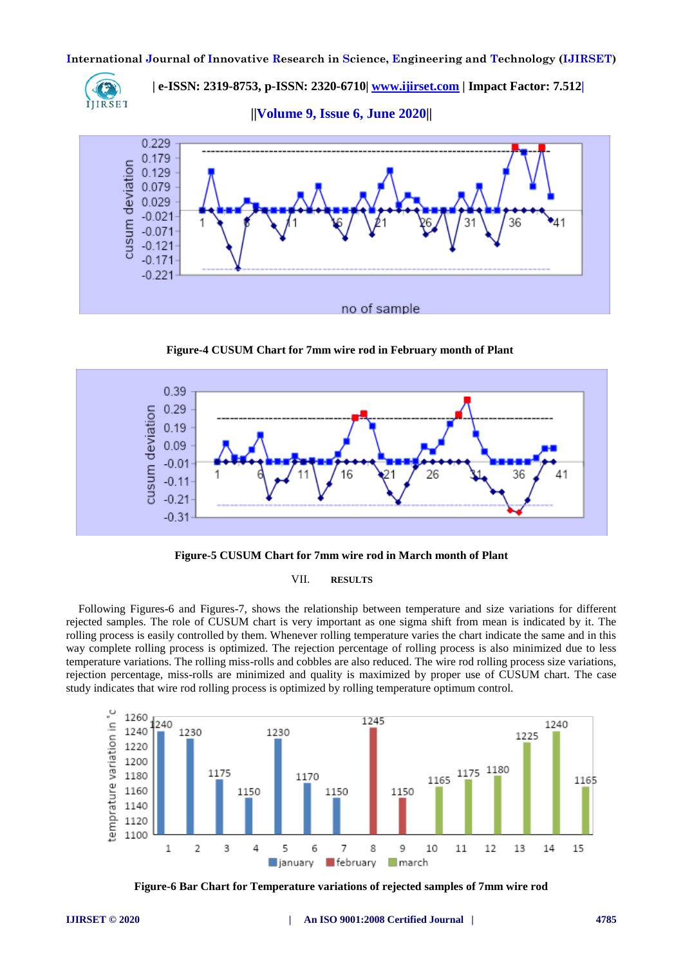

 **| e-ISSN: 2319-8753, p-ISSN: 2320-6710| [www.ijirset.com](http://www.ijirset.com/) | Impact Factor: 7.512|**

**||Volume 9, Issue 6, June 2020||** 



**Figure-4 CUSUM Chart for 7mm wire rod in February month of Plant**





#### VII. **RESULTS**

Following Figures-6 and Figures-7, shows the relationship between temperature and size variations for different rejected samples. The role of CUSUM chart is very important as one sigma shift from mean is indicated by it. The rolling process is easily controlled by them. Whenever rolling temperature varies the chart indicate the same and in this way complete rolling process is optimized. The rejection percentage of rolling process is also minimized due to less temperature variations. The rolling miss-rolls and cobbles are also reduced. The wire rod rolling process size variations, rejection percentage, miss-rolls are minimized and quality is maximized by proper use of CUSUM chart. The case study indicates that wire rod rolling process is optimized by rolling temperature optimum control.